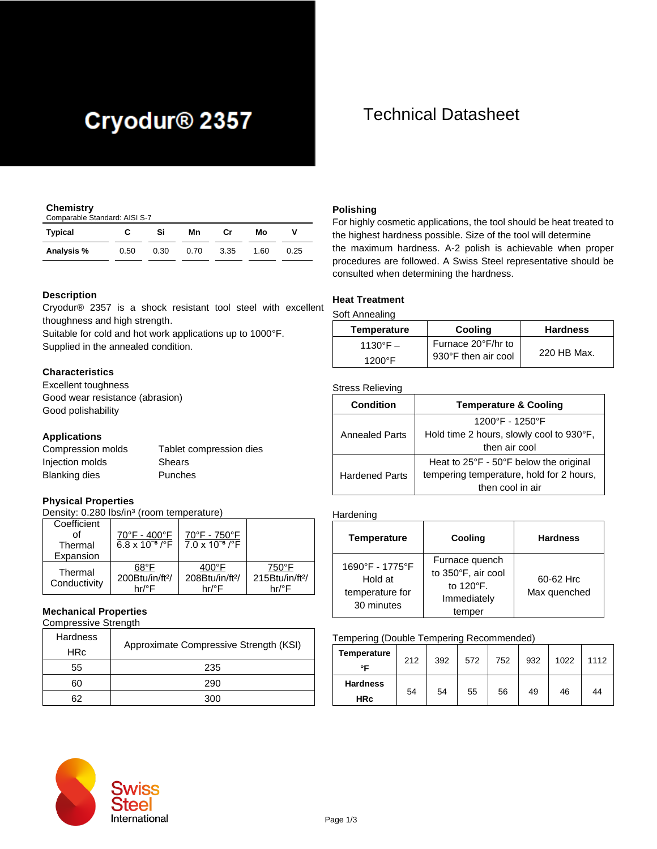# Cryodur<sup>®</sup> 2357

### **Chemistry**

| Comparable Standard: AISI S-7 |      |      |      |      |      |      |
|-------------------------------|------|------|------|------|------|------|
| Typical                       |      | Si   | Mn   | Cr   | Мо   |      |
| Analysis %                    | 0.50 | 0.30 | 0.70 | 3.35 | 1.60 | 0.25 |

### **Description**

Cryodur® 2357 is a shock resistant tool steel with excellent thoughness and high strength.

Suitable for cold and hot work applications up to 1000°F. Supplied in the annealed condition.

### **Characteristics**

Excellent toughness Good wear resistance (abrasion) Good polishability

### **Applications**

| Compression molds | Tablet compression dies |
|-------------------|-------------------------|
| Injection molds   | Shears                  |
| Blanking dies     | Punches                 |

### **Physical Properties**

Density: 0.280 lbs/in<sup>3</sup> (room temperature)

| Coefficient<br>Thermal  | 70°F - 400°F<br>$6.8 \times 10^{-6}$ / $\sqrt{\text{F}}$ | 70°F - 750°F<br>$7.0 \times 10^{-6}$ /°F                |                                               |
|-------------------------|----------------------------------------------------------|---------------------------------------------------------|-----------------------------------------------|
| Expansion               |                                                          |                                                         |                                               |
| Thermal<br>Conductivity | 68°F<br>200Btu/in/ft <sup>2</sup> /<br>hr/°F             | $400^{\circ}$ F<br>208Btu/in/ft <sup>2</sup> /<br>hr/°F | 750°F<br>215Btu/in/ft <sup>2</sup> /<br>hr/°F |

### **Mechanical Properties**

Compressive Strength

| Hardness   |                                        |  |
|------------|----------------------------------------|--|
| <b>HRc</b> | Approximate Compressive Strength (KSI) |  |
| 55         | 235                                    |  |
| 60         | 290                                    |  |
| ีคว        | 300                                    |  |

## Technical Datasheet

### **Polishing**

For highly cosmetic applications, the tool should be heat treated to the highest hardness possible. Size of the tool will determine the maximum hardness. A-2 polish is achievable when proper procedures are followed. A Swiss Steel representative should be consulted when determining the hardness.

### **Heat Treatment**

Soft Annealing

| Temperature       | Cooling             | <b>Hardness</b> |
|-------------------|---------------------|-----------------|
| $1130^{\circ}F -$ | Furnace 20°F/hr to  |                 |
| $1200^\circ F$    | 930°F then air cool | 220 HB Max.     |

### Stress Relieving

| <b>Condition</b>      | <b>Temperature &amp; Cooling</b>                       |  |  |
|-----------------------|--------------------------------------------------------|--|--|
|                       | 1200°F - 1250°F                                        |  |  |
| <b>Annealed Parts</b> | Hold time 2 hours, slowly cool to 930°F,               |  |  |
|                       | then air cool                                          |  |  |
|                       | Heat to $25^{\circ}F - 50^{\circ}F$ below the original |  |  |
| <b>Hardened Parts</b> | tempering temperature, hold for 2 hours,               |  |  |
|                       | then cool in air                                       |  |  |

### Hardening

| <b>Temperature</b>                                          | Cooling                                                                    | <b>Hardness</b>           |
|-------------------------------------------------------------|----------------------------------------------------------------------------|---------------------------|
| 1690°F - 1775°F<br>Hold at<br>temperature for<br>30 minutes | Furnace quench<br>to 350°F, air cool<br>to 120°F.<br>Immediately<br>temper | 60-62 Hrc<br>Max quenched |

#### Tempering (Double Tempering Recommended)

| Temperature<br>∘⊏             | 212 | 392 | 572 | 752 | 932 | 1022 | 1112 |
|-------------------------------|-----|-----|-----|-----|-----|------|------|
| <b>Hardness</b><br><b>HRc</b> | 54  | 54  | 55  | 56  | 49  | 46   | 44   |

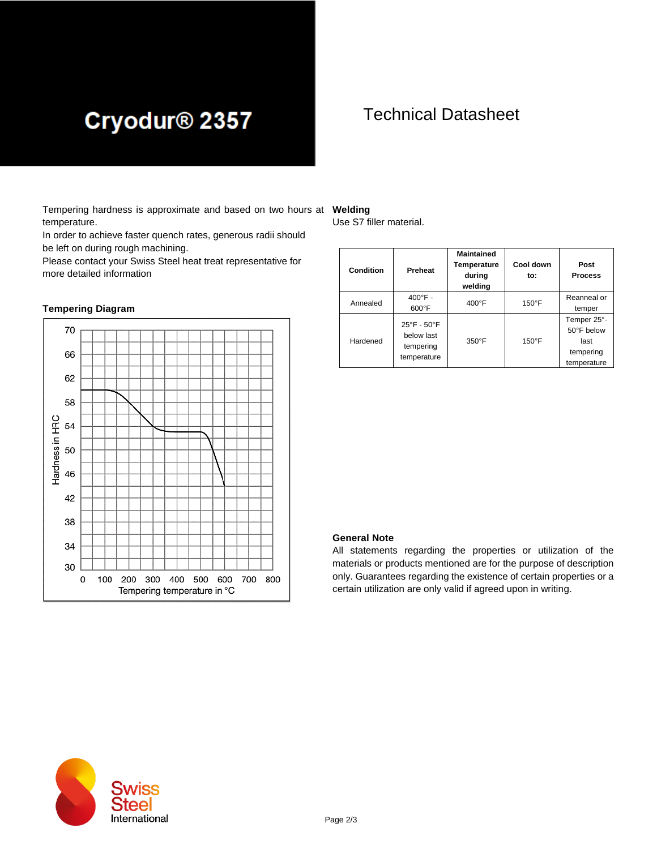# Cryodur<sup>®</sup> 2357

## Technical Datasheet

Tempering hardness is approximate and based on two hours at **Welding** temperature.

In order to achieve faster quench rates, generous radii should be left on during rough machining.

Please contact your Swiss Steel heat treat representative for more detailed information

### **Tempering Diagram**



Use S7 filler material.

| Condition | Preheat                                                                   | <b>Maintained</b><br>Temperature<br>during<br>welding | Cool down<br>to: | Post<br><b>Process</b>                                        |
|-----------|---------------------------------------------------------------------------|-------------------------------------------------------|------------------|---------------------------------------------------------------|
| Annealed  | $400^{\circ}$ F -<br>$600^{\circ}$ F                                      | $400^{\circ}$ F                                       | $150^{\circ}$ F  | Reanneal or<br>temper                                         |
| Hardened  | $25^{\circ}$ F - $50^{\circ}$ F<br>below last<br>tempering<br>temperature | $350^\circ F$                                         | $150^{\circ}$ F  | Temper 25°-<br>50°F below<br>last<br>tempering<br>temperature |

### **General Note**

All statements regarding the properties or utilization of the materials or products mentioned are for the purpose of description only. Guarantees regarding the existence of certain properties or a certain utilization are only valid if agreed upon in writing.